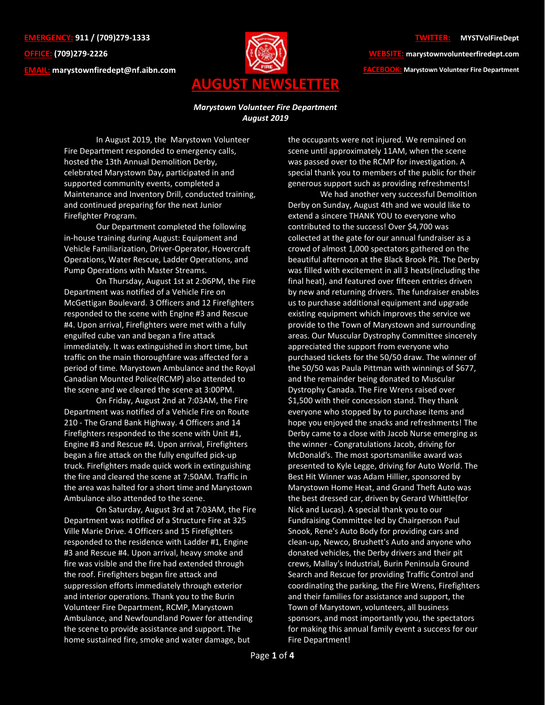**EMERGENCY: 911 / (709)279-1333 OFFICE: (709)279-2226 EMAIL: [marystownfiredept@nf.aibn.com](mailto:marystownfiredept@nf.aibn.com)**



## **TWITTER: @MYSTVolFireDept**

**WEBSITE: marystownvolunteerfiredept.com FACEBOOK: Marystown Volunteer Fire Department**

## *Marystown Volunteer Fire Department August 2019*

In August 2019, the Marystown Volunteer Fire Department responded to emergency calls, hosted the 13th Annual Demolition Derby, celebrated Marystown Day, participated in and supported community events, completed a Maintenance and Inventory Drill, conducted training, and continued preparing for the next Junior Firefighter Program.

Our Department completed the following in-house training during August: Equipment and Vehicle Familiarization, Driver-Operator, Hovercraft Operations, Water Rescue, Ladder Operations, and Pump Operations with Master Streams.

On Thursday, August 1st at 2:06PM, the Fire Department was notified of a Vehicle Fire on McGettigan Boulevard. 3 Officers and 12 Firefighters responded to the scene with Engine #3 and Rescue #4. Upon arrival, Firefighters were met with a fully engulfed cube van and began a fire attack immediately. It was extinguished in short time, but traffic on the main thoroughfare was affected for a period of time. Marystown Ambulance and the Royal Canadian Mounted Police(RCMP) also attended to the scene and we cleared the scene at 3:00PM.

On Friday, August 2nd at 7:03AM, the Fire Department was notified of a Vehicle Fire on Route 210 - The Grand Bank Highway. 4 Officers and 14 Firefighters responded to the scene with Unit #1, Engine #3 and Rescue #4. Upon arrival, Firefighters began a fire attack on the fully engulfed pick-up truck. Firefighters made quick work in extinguishing the fire and cleared the scene at 7:50AM. Traffic in the area was halted for a short time and Marystown Ambulance also attended to the scene.

On Saturday, August 3rd at 7:03AM, the Fire Department was notified of a Structure Fire at 325 Ville Marie Drive. 4 Officers and 15 Firefighters responded to the residence with Ladder #1, Engine #3 and Rescue #4. Upon arrival, heavy smoke and fire was visible and the fire had extended through the roof. Firefighters began fire attack and suppression efforts immediately through exterior and interior operations. Thank you to the Burin Volunteer Fire Department, RCMP, Marystown Ambulance, and Newfoundland Power for attending the scene to provide assistance and support. The home sustained fire, smoke and water damage, but

the occupants were not injured. We remained on scene until approximately 11AM, when the scene was passed over to the RCMP for investigation. A special thank you to members of the public for their generous support such as providing refreshments!

We had another very successful Demolition Derby on Sunday, August 4th and we would like to extend a sincere THANK YOU to everyone who contributed to the success! Over \$4,700 was collected at the gate for our annual fundraiser as a crowd of almost 1,000 spectators gathered on the beautiful afternoon at the Black Brook Pit. The Derby was filled with excitement in all 3 heats(including the final heat), and featured over fifteen entries driven by new and returning drivers. The fundraiser enables us to purchase additional equipment and upgrade existing equipment which improves the service we provide to the Town of Marystown and surrounding areas. Our Muscular Dystrophy Committee sincerely appreciated the support from everyone who purchased tickets for the 50/50 draw. The winner of the 50/50 was Paula Pittman with winnings of \$677, and the remainder being donated to Muscular Dystrophy Canada. The Fire Wrens raised over \$1,500 with their concession stand. They thank everyone who stopped by to purchase items and hope you enjoyed the snacks and refreshments! The Derby came to a close with Jacob Nurse emerging as the winner - Congratulations Jacob, driving for McDonald's. The most sportsmanlike award was presented to Kyle Legge, driving for Auto World. The Best Hit Winner was Adam Hillier, sponsored by Marystown Home Heat, and Grand Theft Auto was the best dressed car, driven by Gerard Whittle(for Nick and Lucas). A special thank you to our Fundraising Committee led by Chairperson Paul Snook, Rene's Auto Body for providing cars and clean-up, Newco, Brushett's Auto and anyone who donated vehicles, the Derby drivers and their pit crews, Mallay's Industrial, Burin Peninsula Ground Search and Rescue for providing Traffic Control and coordinating the parking, the Fire Wrens, Firefighters and their families for assistance and support, the Town of Marystown, volunteers, all business sponsors, and most importantly you, the spectators for making this annual family event a success for our Fire Department!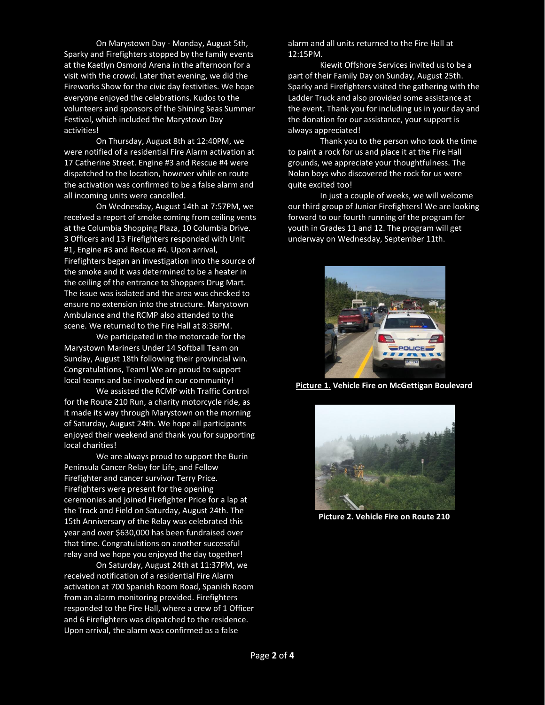On Marystown Day - Monday, August 5th, Sparky and Firefighters stopped by the family events at the Kaetlyn Osmond Arena in the afternoon for a visit with the crowd. Later that evening, we did the Fireworks Show for the civic day festivities. We hope everyone enjoyed the celebrations. Kudos to the volunteers and sponsors of the Shining Seas Summer Festival, which included the Marystown Day activities!

On Thursday, August 8th at 12:40PM, we were notified of a residential Fire Alarm activation at 17 Catherine Street. Engine #3 and Rescue #4 were dispatched to the location, however while en route the activation was confirmed to be a false alarm and all incoming units were cancelled.

On Wednesday, August 14th at 7:57PM, we received a report of smoke coming from ceiling vents at the Columbia Shopping Plaza, 10 Columbia Drive. 3 Officers and 13 Firefighters responded with Unit #1, Engine #3 and Rescue #4. Upon arrival, Firefighters began an investigation into the source of the smoke and it was determined to be a heater in the ceiling of the entrance to Shoppers Drug Mart. The issue was isolated and the area was checked to ensure no extension into the structure. Marystown Ambulance and the RCMP also attended to the scene. We returned to the Fire Hall at 8:36PM.

We participated in the motorcade for the Marystown Mariners Under 14 Softball Team on Sunday, August 18th following their provincial win. Congratulations, Team! We are proud to support local teams and be involved in our community!

We assisted the RCMP with Traffic Control for the Route 210 Run, a charity motorcycle ride, as it made its way through Marystown on the morning of Saturday, August 24th. We hope all participants enjoyed their weekend and thank you for supporting local charities!

We are always proud to support the Burin Peninsula Cancer Relay for Life, and Fellow Firefighter and cancer survivor Terry Price. Firefighters were present for the opening ceremonies and joined Firefighter Price for a lap at the Track and Field on Saturday, August 24th. The 15th Anniversary of the Relay was celebrated this year and over \$630,000 has been fundraised over that time. Congratulations on another successful relay and we hope you enjoyed the day together!

On Saturday, August 24th at 11:37PM, we received notification of a residential Fire Alarm activation at 700 Spanish Room Road, Spanish Room from an alarm monitoring provided. Firefighters responded to the Fire Hall, where a crew of 1 Officer and 6 Firefighters was dispatched to the residence. Upon arrival, the alarm was confirmed as a false

alarm and all units returned to the Fire Hall at 12:15PM.

Kiewit Offshore Services invited us to be a part of their Family Day on Sunday, August 25th. Sparky and Firefighters visited the gathering with the Ladder Truck and also provided some assistance at the event. Thank you for including us in your day and the donation for our assistance, your support is always appreciated!

Thank you to the person who took the time to paint a rock for us and place it at the Fire Hall grounds, we appreciate your thoughtfulness. The Nolan boys who discovered the rock for us were quite excited too!

In just a couple of weeks, we will welcome our third group of Junior Firefighters! We are looking forward to our fourth running of the program for youth in Grades 11 and 12. The program will get underway on Wednesday, September 11th.



**Picture 1. Vehicle Fire on McGettigan Boulevard**



**Picture 2. Vehicle Fire on Route 210**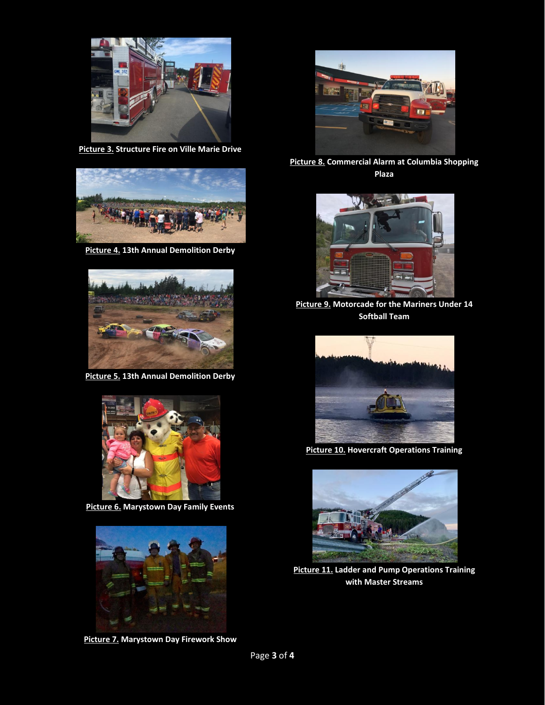

**Picture 3. Structure Fire on Ville Marie Drive**



**Picture 4. 13th Annual Demolition Derby**



**Picture 5. 13th Annual Demolition Derby**



**Picture 6. Marystown Day Family Events**



**Picture 7. Marystown Day Firework Show**



**Picture 8. Commercial Alarm at Columbia Shopping Plaza**



**Picture 9. Motorcade for the Mariners Under 14 Softball Team**



**Picture 10. Hovercraft Operations Training**



**Picture 11. Ladder and Pump Operations Training with Master Streams**